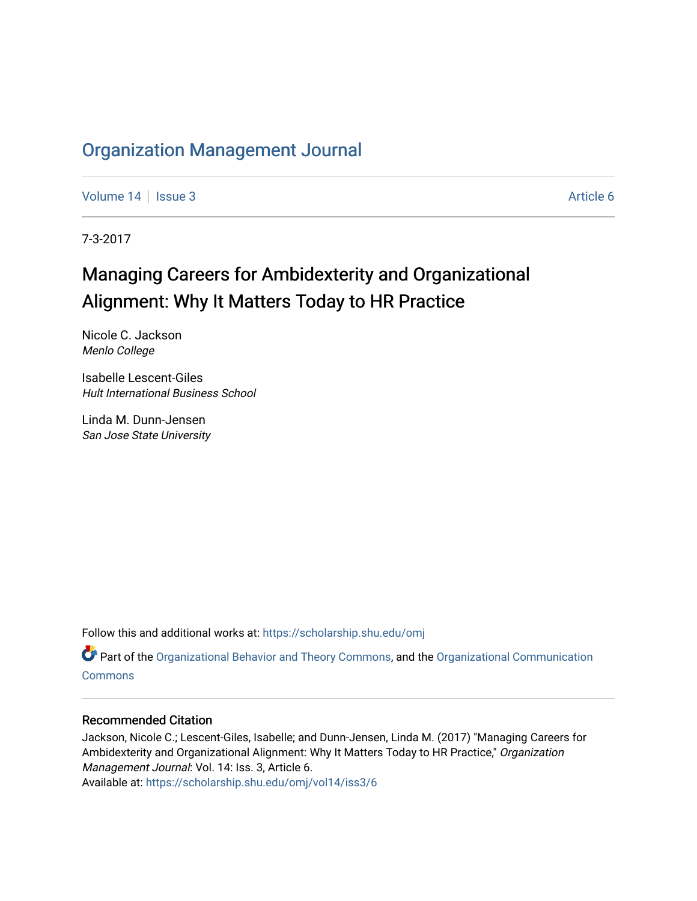# [Organization Management Journal](https://scholarship.shu.edu/omj)

[Volume 14](https://scholarship.shu.edu/omj/vol14) Suitsue 3 Article 6

7-3-2017

# Managing Careers for Ambidexterity and Organizational Alignment: Why It Matters Today to HR Practice

Nicole C. Jackson Menlo College

Isabelle Lescent-Giles Hult International Business School

Linda M. Dunn-Jensen San Jose State University

Follow this and additional works at: [https://scholarship.shu.edu/omj](https://scholarship.shu.edu/omj?utm_source=scholarship.shu.edu%2Fomj%2Fvol14%2Fiss3%2F6&utm_medium=PDF&utm_campaign=PDFCoverPages) 

Part of the [Organizational Behavior and Theory Commons,](http://network.bepress.com/hgg/discipline/639?utm_source=scholarship.shu.edu%2Fomj%2Fvol14%2Fiss3%2F6&utm_medium=PDF&utm_campaign=PDFCoverPages) and the [Organizational Communication](http://network.bepress.com/hgg/discipline/335?utm_source=scholarship.shu.edu%2Fomj%2Fvol14%2Fiss3%2F6&utm_medium=PDF&utm_campaign=PDFCoverPages) [Commons](http://network.bepress.com/hgg/discipline/335?utm_source=scholarship.shu.edu%2Fomj%2Fvol14%2Fiss3%2F6&utm_medium=PDF&utm_campaign=PDFCoverPages)

# Recommended Citation

Jackson, Nicole C.; Lescent-Giles, Isabelle; and Dunn-Jensen, Linda M. (2017) "Managing Careers for Ambidexterity and Organizational Alignment: Why It Matters Today to HR Practice," Organization Management Journal: Vol. 14: Iss. 3, Article 6.

Available at: [https://scholarship.shu.edu/omj/vol14/iss3/6](https://scholarship.shu.edu/omj/vol14/iss3/6?utm_source=scholarship.shu.edu%2Fomj%2Fvol14%2Fiss3%2F6&utm_medium=PDF&utm_campaign=PDFCoverPages)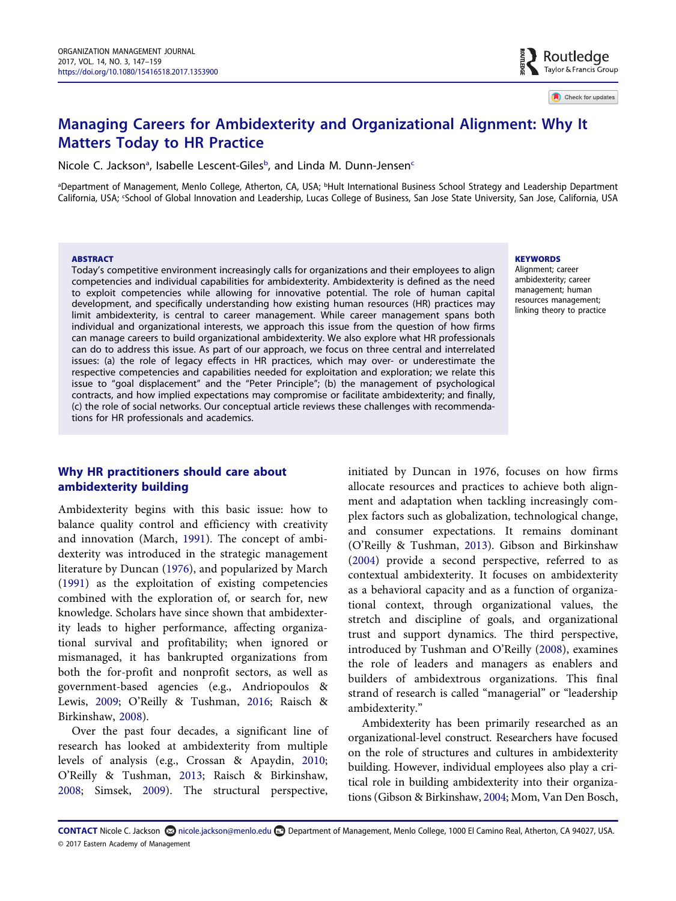# Managing Careers for Ambidexterity and Organizational Alignment: Why It Matters Today to HR Practice

Nicole C. Jackson<sup>a</sup>, Isa[b](#page-1-0)elle Lescent-Giles<sup>b</sup>, and Linda M. Dunn-Jensen<sup>c</sup>

<span id="page-1-1"></span><span id="page-1-0"></span>ªDepartment of Management, Menlo College, Atherton, CA, USA; <sup>b</sup>Hult International Business School Strategy and Leadership Department California, USA; 'School of Global Innovation and Leadership, Lucas College of Business, San Jose State University, San Jose, California, USA

#### **ABSTRACT**

Today's competitive environment increasingly calls for organizations and their employees to align competencies and individual capabilities for ambidexterity. Ambidexterity is defined as the need to exploit competencies while allowing for innovative potential. The role of human capital development, and specifically understanding how existing human resources (HR) practices may limit ambidexterity, is central to career management. While career management spans both individual and organizational interests, we approach this issue from the question of how firms can manage careers to build organizational ambidexterity. We also explore what HR professionals can do to address this issue. As part of our approach, we focus on three central and interrelated issues: (a) the role of legacy effects in HR practices, which may over- or underestimate the respective competencies and capabilities needed for exploitation and exploration; we relate this issue to "goal displacement" and the "Peter Principle"; (b) the management of psychological contracts, and how implied expectations may compromise or facilitate ambidexterity; and finally, (c) the role of social networks. Our conceptual article reviews these challenges with recommendations for HR professionals and academics.

# Why HR practitioners should care about ambidexterity building

Ambidexterity begins with this basic issue: how to balance quality control and efficiency with creativity and innovation (March, [1991\)](#page-12-0). The concept of ambidexterity was introduced in the strategic management literature by Duncan [\(1976](#page-11-0)), and popularized by March ([1991\)](#page-12-0) as the exploitation of existing competencies combined with the exploration of, or search for, new knowledge. Scholars have since shown that ambidexterity leads to higher performance, affecting organizational survival and profitability; when ignored or mismanaged, it has bankrupted organizations from both the for-profit and nonprofit sectors, as well as government-based agencies (e.g., Andriopoulos & Lewis, [2009](#page-11-1); O'Reilly & Tushman, [2016](#page-12-1); Raisch & Birkinshaw, [2008\)](#page-12-2).

Over the past four decades, a significant line of research has looked at ambidexterity from multiple levels of analysis (e.g., Crossan & Apaydin, [2010;](#page-11-2) O'Reilly & Tushman, [2013;](#page-12-3) Raisch & Birkinshaw, [2008](#page-12-2); Simsek, [2009](#page-12-4)). The structural perspective,

initiated by Duncan in 1976, focuses on how firms allocate resources and practices to achieve both alignment and adaptation when tackling increasingly complex factors such as globalization, technological change, and consumer expectations. It remains dominant (O'Reilly & Tushman, [2013](#page-12-3)). Gibson and Birkinshaw ([2004\)](#page-11-3) provide a second perspective, referred to as contextual ambidexterity. It focuses on ambidexterity as a behavioral capacity and as a function of organizational context, through organizational values, the stretch and discipline of goals, and organizational trust and support dynamics. The third perspective, introduced by Tushman and O'Reilly ([2008](#page-13-0)), examines the role of leaders and managers as enablers and builders of ambidextrous organizations. This final strand of research is called "managerial" or "leadership ambidexterity."

Ambidexterity has been primarily researched as an organizational-level construct. Researchers have focused on the role of structures and cultures in ambidexterity building. However, individual employees also play a critical role in building ambidexterity into their organizations (Gibson & Birkinshaw, [2004;](#page-11-3) Mom, Van Den Bosch,

#### **KEYWORDS**

Alignment; career ambidexterity; career management; human resources management; linking theory to practice

Check for updates

CONTACT Nicole C. Jackson and nicole.jackson@menlo.edu **Department of Management, Menlo College**, 1000 El Camino Real, Atherton, CA 94027, USA. © 2017 Eastern Academy of Management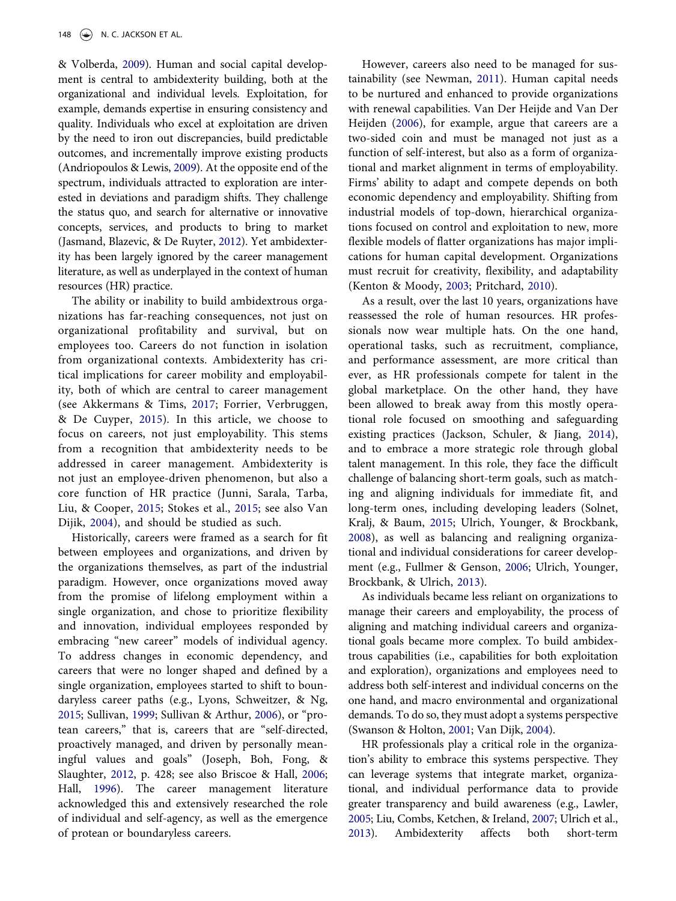& Volberda, [2009](#page-12-5)). Human and social capital development is central to ambidexterity building, both at the organizational and individual levels. Exploitation, for example, demands expertise in ensuring consistency and quality. Individuals who excel at exploitation are driven by the need to iron out discrepancies, build predictable outcomes, and incrementally improve existing products (Andriopoulos & Lewis, [2009](#page-11-1)). At the opposite end of the spectrum, individuals attracted to exploration are interested in deviations and paradigm shifts. They challenge the status quo, and search for alternative or innovative concepts, services, and products to bring to market (Jasmand, Blazevic, & De Ruyter, [2012\)](#page-11-4). Yet ambidexterity has been largely ignored by the career management literature, as well as underplayed in the context of human resources (HR) practice.

The ability or inability to build ambidextrous organizations has far-reaching consequences, not just on organizational profitability and survival, but on employees too. Careers do not function in isolation from organizational contexts. Ambidexterity has critical implications for career mobility and employability, both of which are central to career management (see Akkermans & Tims, [2017](#page-10-0); Forrier, Verbruggen, & De Cuyper, [2015\)](#page-11-5). In this article, we choose to focus on careers, not just employability. This stems from a recognition that ambidexterity needs to be addressed in career management. Ambidexterity is not just an employee-driven phenomenon, but also a core function of HR practice (Junni, Sarala, Tarba, Liu, & Cooper, [2015](#page-12-6); Stokes et al., [2015;](#page-13-1) see also Van Dijik, [2004\)](#page-13-2), and should be studied as such.

Historically, careers were framed as a search for fit between employees and organizations, and driven by the organizations themselves, as part of the industrial paradigm. However, once organizations moved away from the promise of lifelong employment within a single organization, and chose to prioritize flexibility and innovation, individual employees responded by embracing "new career" models of individual agency. To address changes in economic dependency, and careers that were no longer shaped and defined by a single organization, employees started to shift to boundaryless career paths (e.g., Lyons, Schweitzer, & Ng, [2015](#page-12-7); Sullivan, [1999](#page-13-3); Sullivan & Arthur, [2006\)](#page-13-4), or "protean careers," that is, careers that are "self-directed, proactively managed, and driven by personally meaningful values and goals" (Joseph, Boh, Fong, & Slaughter, [2012](#page-12-8), p. 428; see also Briscoe & Hall, [2006;](#page-11-6) Hall, [1996](#page-11-7)). The career management literature acknowledged this and extensively researched the role of individual and self-agency, as well as the emergence of protean or boundaryless careers.

However, careers also need to be managed for sustainability (see Newman, [2011](#page-12-9)). Human capital needs to be nurtured and enhanced to provide organizations with renewal capabilities. Van Der Heijde and Van Der Heijden ([2006](#page-13-5)), for example, argue that careers are a two-sided coin and must be managed not just as a function of self-interest, but also as a form of organizational and market alignment in terms of employability. Firms' ability to adapt and compete depends on both economic dependency and employability. Shifting from industrial models of top-down, hierarchical organizations focused on control and exploitation to new, more flexible models of flatter organizations has major implications for human capital development. Organizations must recruit for creativity, flexibility, and adaptability (Kenton & Moody, [2003](#page-12-10); Pritchard, [2010\)](#page-12-11).

As a result, over the last 10 years, organizations have reassessed the role of human resources. HR professionals now wear multiple hats. On the one hand, operational tasks, such as recruitment, compliance, and performance assessment, are more critical than ever, as HR professionals compete for talent in the global marketplace. On the other hand, they have been allowed to break away from this mostly operational role focused on smoothing and safeguarding existing practices (Jackson, Schuler, & Jiang, [2014\)](#page-11-8), and to embrace a more strategic role through global talent management. In this role, they face the difficult challenge of balancing short-term goals, such as matching and aligning individuals for immediate fit, and long-term ones, including developing leaders (Solnet, Kralj, & Baum, [2015;](#page-13-6) Ulrich, Younger, & Brockbank, [2008](#page-13-7)), as well as balancing and realigning organizational and individual considerations for career development (e.g., Fullmer & Genson, [2006](#page-11-9); Ulrich, Younger, Brockbank, & Ulrich, [2013\)](#page-13-8).

As individuals became less reliant on organizations to manage their careers and employability, the process of aligning and matching individual careers and organizational goals became more complex. To build ambidextrous capabilities (i.e., capabilities for both exploitation and exploration), organizations and employees need to address both self-interest and individual concerns on the one hand, and macro environmental and organizational demands. To do so, they must adopt a systems perspective (Swanson & Holton, [2001;](#page-13-9) Van Dijk, [2004](#page-13-2)).

HR professionals play a critical role in the organization's ability to embrace this systems perspective. They can leverage systems that integrate market, organizational, and individual performance data to provide greater transparency and build awareness (e.g., Lawler, [2005;](#page-12-12) Liu, Combs, Ketchen, & Ireland, [2007](#page-12-13); Ulrich et al., [2013\)](#page-13-8). Ambidexterity affects both short-term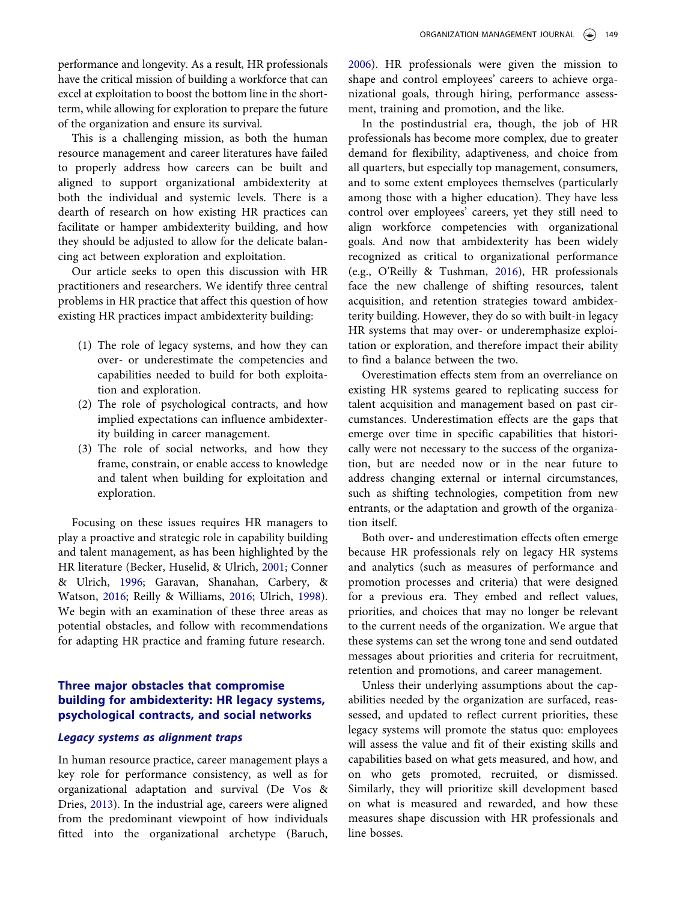performance and longevity. As a result, HR professionals have the critical mission of building a workforce that can excel at exploitation to boost the bottom line in the shortterm, while allowing for exploration to prepare the future of the organization and ensure its survival.

This is a challenging mission, as both the human resource management and career literatures have failed to properly address how careers can be built and aligned to support organizational ambidexterity at both the individual and systemic levels. There is a dearth of research on how existing HR practices can facilitate or hamper ambidexterity building, and how they should be adjusted to allow for the delicate balancing act between exploration and exploitation.

Our article seeks to open this discussion with HR practitioners and researchers. We identify three central problems in HR practice that affect this question of how existing HR practices impact ambidexterity building:

- (1) The role of legacy systems, and how they can over- or underestimate the competencies and capabilities needed to build for both exploitation and exploration.
- (2) The role of psychological contracts, and how implied expectations can influence ambidexterity building in career management.
- (3) The role of social networks, and how they frame, constrain, or enable access to knowledge and talent when building for exploitation and exploration.

Focusing on these issues requires HR managers to play a proactive and strategic role in capability building and talent management, as has been highlighted by the HR literature (Becker, Huselid, & Ulrich, [2001](#page-11-10); Conner & Ulrich, [1996](#page-11-11); Garavan, Shanahan, Carbery, & Watson, [2016;](#page-11-12) Reilly & Williams, [2016;](#page-12-14) Ulrich, [1998\)](#page-13-10). We begin with an examination of these three areas as potential obstacles, and follow with recommendations for adapting HR practice and framing future research.

# Three major obstacles that compromise building for ambidexterity: HR legacy systems, psychological contracts, and social networks

# Legacy systems as alignment traps

In human resource practice, career management plays a key role for performance consistency, as well as for organizational adaptation and survival (De Vos & Dries, [2013](#page-11-13)). In the industrial age, careers were aligned from the predominant viewpoint of how individuals fitted into the organizational archetype (Baruch, [2006](#page-11-14)). HR professionals were given the mission to shape and control employees' careers to achieve organizational goals, through hiring, performance assessment, training and promotion, and the like.

In the postindustrial era, though, the job of HR professionals has become more complex, due to greater demand for flexibility, adaptiveness, and choice from all quarters, but especially top management, consumers, and to some extent employees themselves (particularly among those with a higher education). They have less control over employees' careers, yet they still need to align workforce competencies with organizational goals. And now that ambidexterity has been widely recognized as critical to organizational performance (e.g., O'Reilly & Tushman, [2016](#page-12-1)), HR professionals face the new challenge of shifting resources, talent acquisition, and retention strategies toward ambidexterity building. However, they do so with built-in legacy HR systems that may over- or underemphasize exploitation or exploration, and therefore impact their ability to find a balance between the two.

Overestimation effects stem from an overreliance on existing HR systems geared to replicating success for talent acquisition and management based on past circumstances. Underestimation effects are the gaps that emerge over time in specific capabilities that historically were not necessary to the success of the organization, but are needed now or in the near future to address changing external or internal circumstances, such as shifting technologies, competition from new entrants, or the adaptation and growth of the organization itself.

Both over- and underestimation effects often emerge because HR professionals rely on legacy HR systems and analytics (such as measures of performance and promotion processes and criteria) that were designed for a previous era. They embed and reflect values, priorities, and choices that may no longer be relevant to the current needs of the organization. We argue that these systems can set the wrong tone and send outdated messages about priorities and criteria for recruitment, retention and promotions, and career management.

Unless their underlying assumptions about the capabilities needed by the organization are surfaced, reassessed, and updated to reflect current priorities, these legacy systems will promote the status quo: employees will assess the value and fit of their existing skills and capabilities based on what gets measured, and how, and on who gets promoted, recruited, or dismissed. Similarly, they will prioritize skill development based on what is measured and rewarded, and how these measures shape discussion with HR professionals and line bosses.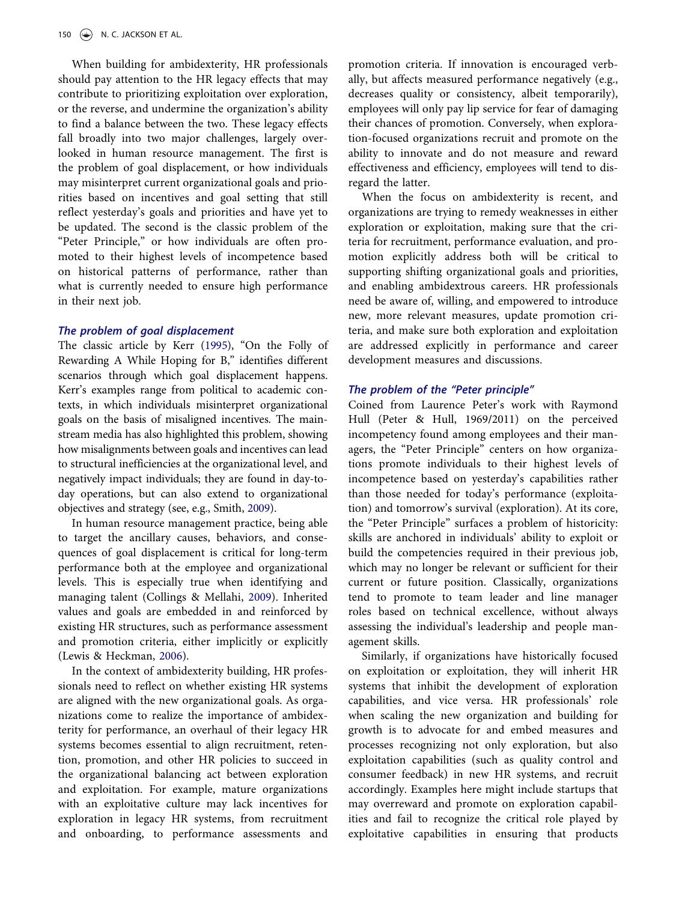When building for ambidexterity, HR professionals should pay attention to the HR legacy effects that may contribute to prioritizing exploitation over exploration, or the reverse, and undermine the organization's ability to find a balance between the two. These legacy effects fall broadly into two major challenges, largely overlooked in human resource management. The first is the problem of goal displacement, or how individuals may misinterpret current organizational goals and priorities based on incentives and goal setting that still reflect yesterday's goals and priorities and have yet to be updated. The second is the classic problem of the "Peter Principle," or how individuals are often promoted to their highest levels of incompetence based on historical patterns of performance, rather than what is currently needed to ensure high performance in their next job.

#### The problem of goal displacement

The classic article by Kerr ([1995\)](#page-12-15), "On the Folly of Rewarding A While Hoping for B," identifies different scenarios through which goal displacement happens. Kerr's examples range from political to academic contexts, in which individuals misinterpret organizational goals on the basis of misaligned incentives. The mainstream media has also highlighted this problem, showing how misalignments between goals and incentives can lead to structural inefficiencies at the organizational level, and negatively impact individuals; they are found in day-today operations, but can also extend to organizational objectives and strategy (see, e.g., Smith, [2009](#page-12-16)).

In human resource management practice, being able to target the ancillary causes, behaviors, and consequences of goal displacement is critical for long-term performance both at the employee and organizational levels. This is especially true when identifying and managing talent (Collings & Mellahi, [2009\)](#page-11-15). Inherited values and goals are embedded in and reinforced by existing HR structures, such as performance assessment and promotion criteria, either implicitly or explicitly (Lewis & Heckman, [2006](#page-12-17)).

In the context of ambidexterity building, HR professionals need to reflect on whether existing HR systems are aligned with the new organizational goals. As organizations come to realize the importance of ambidexterity for performance, an overhaul of their legacy HR systems becomes essential to align recruitment, retention, promotion, and other HR policies to succeed in the organizational balancing act between exploration and exploitation. For example, mature organizations with an exploitative culture may lack incentives for exploration in legacy HR systems, from recruitment and onboarding, to performance assessments and promotion criteria. If innovation is encouraged verbally, but affects measured performance negatively (e.g., decreases quality or consistency, albeit temporarily), employees will only pay lip service for fear of damaging their chances of promotion. Conversely, when exploration-focused organizations recruit and promote on the ability to innovate and do not measure and reward effectiveness and efficiency, employees will tend to disregard the latter.

When the focus on ambidexterity is recent, and organizations are trying to remedy weaknesses in either exploration or exploitation, making sure that the criteria for recruitment, performance evaluation, and promotion explicitly address both will be critical to supporting shifting organizational goals and priorities, and enabling ambidextrous careers. HR professionals need be aware of, willing, and empowered to introduce new, more relevant measures, update promotion criteria, and make sure both exploration and exploitation are addressed explicitly in performance and career development measures and discussions.

#### The problem of the "Peter principle"

Coined from Laurence Peter's work with Raymond Hull (Peter & Hull, 1969/2011) on the perceived incompetency found among employees and their managers, the "Peter Principle" centers on how organizations promote individuals to their highest levels of incompetence based on yesterday's capabilities rather than those needed for today's performance (exploitation) and tomorrow's survival (exploration). At its core, the "Peter Principle" surfaces a problem of historicity: skills are anchored in individuals' ability to exploit or build the competencies required in their previous job, which may no longer be relevant or sufficient for their current or future position. Classically, organizations tend to promote to team leader and line manager roles based on technical excellence, without always assessing the individual's leadership and people management skills.

Similarly, if organizations have historically focused on exploitation or exploitation, they will inherit HR systems that inhibit the development of exploration capabilities, and vice versa. HR professionals' role when scaling the new organization and building for growth is to advocate for and embed measures and processes recognizing not only exploration, but also exploitation capabilities (such as quality control and consumer feedback) in new HR systems, and recruit accordingly. Examples here might include startups that may overreward and promote on exploration capabilities and fail to recognize the critical role played by exploitative capabilities in ensuring that products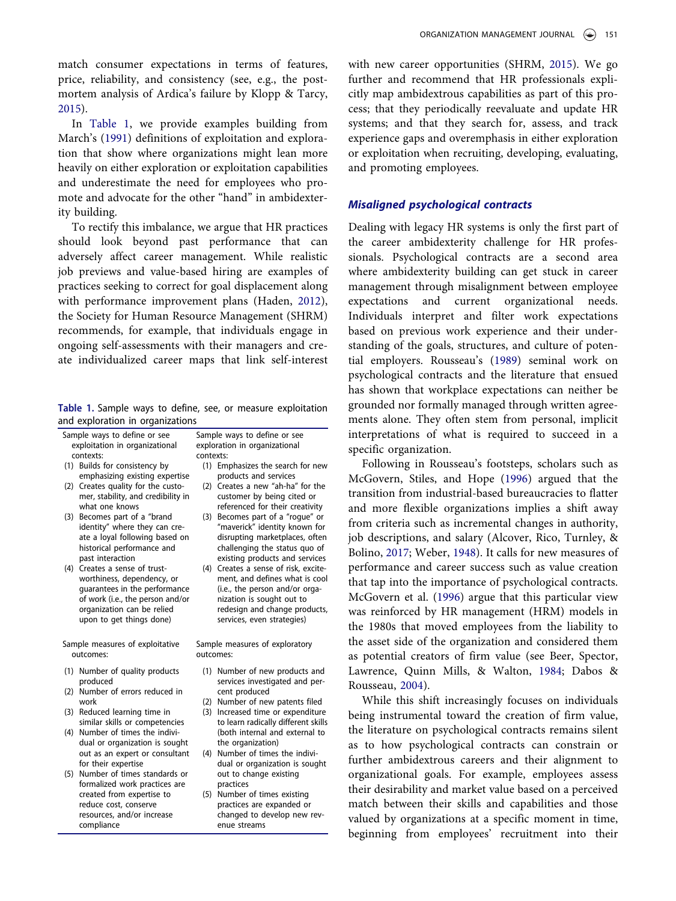match consumer expectations in terms of features, price, reliability, and consistency (see, e.g., the postmortem analysis of Ardica's failure by Klopp & Tarcy, [2015](#page-12-18)).

In [Table 1,](#page-5-0) we provide examples building from March's [\(1991](#page-12-0)) definitions of exploitation and exploration that show where organizations might lean more heavily on either exploration or exploitation capabilities and underestimate the need for employees who promote and advocate for the other "hand" in ambidexterity building.

To rectify this imbalance, we argue that HR practices should look beyond past performance that can adversely affect career management. While realistic job previews and value-based hiring are examples of practices seeking to correct for goal displacement along with performance improvement plans (Haden, [2012\)](#page-11-16), the Society for Human Resource Management (SHRM) recommends, for example, that individuals engage in ongoing self-assessments with their managers and create individualized career maps that link self-interest

<span id="page-5-0"></span>Table 1. Sample ways to define, see, or measure exploitation and exploration in organizations

| Sample ways to define or see   |                                    | Sample ways to define or see  |                               |
|--------------------------------|------------------------------------|-------------------------------|-------------------------------|
| exploitation in organizational |                                    | exploration in organizational |                               |
| contexts:                      |                                    | contexts:                     |                               |
|                                | (1) Builds for consistency by      |                               | (1) Emphasizes the search for |
|                                | emphasizing existing expertise     |                               | products and services         |
|                                | (2) Creates quality for the custo- |                               | (2) Creates a new "ah-ha" fo  |
|                                | mer, stability, and credibility in |                               | customer by being cited       |
|                                | what one knows                     |                               | referenced for their creati   |

- (3) Becomes part of a "brand identity" where they can create a loyal following based on historical performance and past interaction
- (4) Creates a sense of trustworthiness, dependency, or guarantees in the performance of work (i.e., the person and/or organization can be relied upon to get things done)
- Sample measures of exploitative outcomes:
- (1) Number of quality products produced
- (2) Number of errors reduced in work
- (3) Reduced learning time in similar skills or competencies
- (4) Number of times the individual or organization is sought out as an expert or consultant for their expertise
- (5) Number of times standards or formalized work practices are created from expertise to reduce cost, conserve resources, and/or increase compliance

- r new
- $\alpha$  the customer by being cited or
- referenced for their creativity (3) Becomes part of a "rogue" or "maverick" identity known for disrupting marketplaces, often challenging the status quo of existing products and services
- (4) Creates a sense of risk, excitement, and defines what is cool (i.e., the person and/or organization is sought out to redesign and change products, services, even strategies)

Sample measures of exploratory outcomes:

- (1) Number of new products and services investigated and per-
- cent produced (2) Number of new patents filed
- (3) Increased time or expenditure to learn radically different skills (both internal and external to the organization)
- (4) Number of times the individual or organization is sought out to change existing practices
- (5) Number of times existing practices are expanded or changed to develop new revenue streams

with new career opportunities (SHRM, [2015\)](#page-12-19). We go further and recommend that HR professionals explicitly map ambidextrous capabilities as part of this process; that they periodically reevaluate and update HR systems; and that they search for, assess, and track experience gaps and overemphasis in either exploration or exploitation when recruiting, developing, evaluating, and promoting employees.

# Misaligned psychological contracts

Dealing with legacy HR systems is only the first part of the career ambidexterity challenge for HR professionals. Psychological contracts are a second area where ambidexterity building can get stuck in career management through misalignment between employee expectations and current organizational needs. Individuals interpret and filter work expectations based on previous work experience and their understanding of the goals, structures, and culture of potential employers. Rousseau's [\(1989](#page-12-20)) seminal work on psychological contracts and the literature that ensued has shown that workplace expectations can neither be grounded nor formally managed through written agreements alone. They often stem from personal, implicit interpretations of what is required to succeed in a specific organization.

Following in Rousseau's footsteps, scholars such as McGovern, Stiles, and Hope ([1996\)](#page-12-21) argued that the transition from industrial-based bureaucracies to flatter and more flexible organizations implies a shift away from criteria such as incremental changes in authority, job descriptions, and salary (Alcover, Rico, Turnley, & Bolino, [2017](#page-11-17); Weber, [1948](#page-13-11)). It calls for new measures of performance and career success such as value creation that tap into the importance of psychological contracts. McGovern et al. [\(1996](#page-12-21)) argue that this particular view was reinforced by HR management (HRM) models in the 1980s that moved employees from the liability to the asset side of the organization and considered them as potential creators of firm value (see Beer, Spector, Lawrence, Quinn Mills, & Walton, [1984;](#page-11-18) Dabos & Rousseau, [2004\)](#page-11-19).

While this shift increasingly focuses on individuals being instrumental toward the creation of firm value, the literature on psychological contracts remains silent as to how psychological contracts can constrain or further ambidextrous careers and their alignment to organizational goals. For example, employees assess their desirability and market value based on a perceived match between their skills and capabilities and those valued by organizations at a specific moment in time, beginning from employees' recruitment into their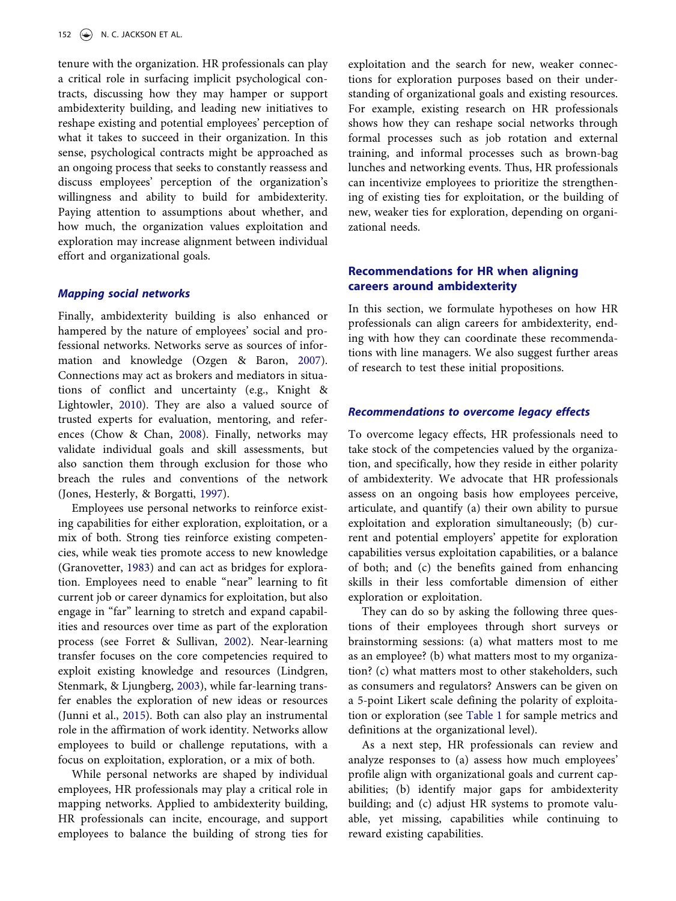tenure with the organization. HR professionals can play a critical role in surfacing implicit psychological contracts, discussing how they may hamper or support ambidexterity building, and leading new initiatives to reshape existing and potential employees' perception of what it takes to succeed in their organization. In this sense, psychological contracts might be approached as an ongoing process that seeks to constantly reassess and discuss employees' perception of the organization's willingness and ability to build for ambidexterity. Paying attention to assumptions about whether, and how much, the organization values exploitation and exploration may increase alignment between individual effort and organizational goals.

#### Mapping social networks

Finally, ambidexterity building is also enhanced or hampered by the nature of employees' social and professional networks. Networks serve as sources of information and knowledge (Ozgen & Baron, [2007\)](#page-12-22). Connections may act as brokers and mediators in situations of conflict and uncertainty (e.g., Knight & Lightowler, [2010\)](#page-12-23). They are also a valued source of trusted experts for evaluation, mentoring, and references (Chow & Chan, [2008](#page-11-20)). Finally, networks may validate individual goals and skill assessments, but also sanction them through exclusion for those who breach the rules and conventions of the network (Jones, Hesterly, & Borgatti, [1997\)](#page-12-24).

Employees use personal networks to reinforce existing capabilities for either exploration, exploitation, or a mix of both. Strong ties reinforce existing competencies, while weak ties promote access to new knowledge (Granovetter, [1983\)](#page-11-21) and can act as bridges for exploration. Employees need to enable "near" learning to fit current job or career dynamics for exploitation, but also engage in "far" learning to stretch and expand capabilities and resources over time as part of the exploration process (see Forret & Sullivan, [2002](#page-11-22)). Near-learning transfer focuses on the core competencies required to exploit existing knowledge and resources (Lindgren, Stenmark, & Ljungberg, [2003\)](#page-12-25), while far-learning transfer enables the exploration of new ideas or resources (Junni et al., [2015\)](#page-12-6). Both can also play an instrumental role in the affirmation of work identity. Networks allow employees to build or challenge reputations, with a focus on exploitation, exploration, or a mix of both.

While personal networks are shaped by individual employees, HR professionals may play a critical role in mapping networks. Applied to ambidexterity building, HR professionals can incite, encourage, and support employees to balance the building of strong ties for

exploitation and the search for new, weaker connections for exploration purposes based on their understanding of organizational goals and existing resources. For example, existing research on HR professionals shows how they can reshape social networks through formal processes such as job rotation and external training, and informal processes such as brown-bag lunches and networking events. Thus, HR professionals can incentivize employees to prioritize the strengthening of existing ties for exploitation, or the building of new, weaker ties for exploration, depending on organizational needs.

# Recommendations for HR when aligning careers around ambidexterity

In this section, we formulate hypotheses on how HR professionals can align careers for ambidexterity, ending with how they can coordinate these recommendations with line managers. We also suggest further areas of research to test these initial propositions.

#### Recommendations to overcome legacy effects

To overcome legacy effects, HR professionals need to take stock of the competencies valued by the organization, and specifically, how they reside in either polarity of ambidexterity. We advocate that HR professionals assess on an ongoing basis how employees perceive, articulate, and quantify (a) their own ability to pursue exploitation and exploration simultaneously; (b) current and potential employers' appetite for exploration capabilities versus exploitation capabilities, or a balance of both; and (c) the benefits gained from enhancing skills in their less comfortable dimension of either exploration or exploitation.

They can do so by asking the following three questions of their employees through short surveys or brainstorming sessions: (a) what matters most to me as an employee? (b) what matters most to my organization? (c) what matters most to other stakeholders, such as consumers and regulators? Answers can be given on a 5-point Likert scale defining the polarity of exploitation or exploration (see [Table 1](#page-5-0) for sample metrics and definitions at the organizational level).

As a next step, HR professionals can review and analyze responses to (a) assess how much employees' profile align with organizational goals and current capabilities; (b) identify major gaps for ambidexterity building; and (c) adjust HR systems to promote valuable, yet missing, capabilities while continuing to reward existing capabilities.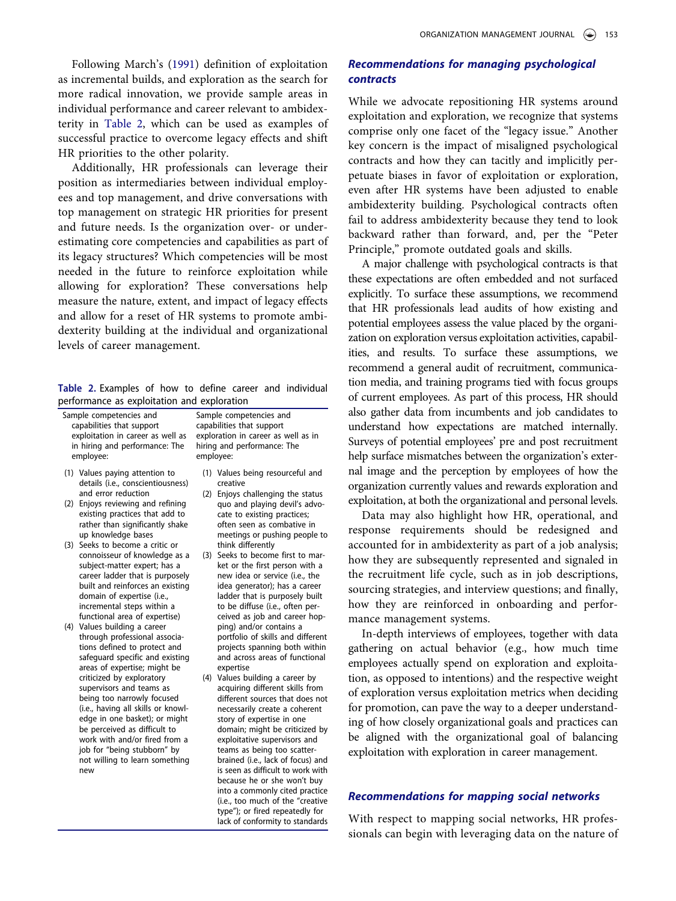Following March's [\(1991](#page-12-0)) definition of exploitation as incremental builds, and exploration as the search for more radical innovation, we provide sample areas in individual performance and career relevant to ambidexterity in [Table 2](#page-7-0), which can be used as examples of successful practice to overcome legacy effects and shift HR priorities to the other polarity.

Additionally, HR professionals can leverage their position as intermediaries between individual employees and top management, and drive conversations with top management on strategic HR priorities for present and future needs. Is the organization over- or underestimating core competencies and capabilities as part of its legacy structures? Which competencies will be most needed in the future to reinforce exploitation while allowing for exploration? These conversations help measure the nature, extent, and impact of legacy effects and allow for a reset of HR systems to promote ambidexterity building at the individual and organizational levels of career management.

<span id="page-7-0"></span>Table 2. Examples of how to define career and individual performance as exploitation and exploration

Sample competencies and capabilities that support exploitation in career as well as in hiring and performance: The employee:

(1) Values paying attention to details (i.e., conscientiousness) and error reduction

- (2) Enjoys reviewing and refining existing practices that add to rather than significantly shake up knowledge bases
- (3) Seeks to become a critic or connoisseur of knowledge as a subject-matter expert; has a career ladder that is purposely built and reinforces an existing domain of expertise (i.e., incremental steps within a functional area of expertise)
- (4) Values building a career through professional associations defined to protect and safeguard specific and existing areas of expertise; might be criticized by exploratory supervisors and teams as being too narrowly focused (i.e., having all skills or knowledge in one basket); or might be perceived as difficult to work with and/or fired from a job for "being stubborn" by not willing to learn something new

Sample competencies and capabilities that support exploration in career as well as in hiring and performance: The employee:

- (1) Values being resourceful and creative
- (2) Enjoys challenging the status quo and playing devil's advocate to existing practices; often seen as combative in meetings or pushing people to think differently
- (3) Seeks to become first to market or the first person with a new idea or service (i.e., the idea generator); has a career ladder that is purposely built to be diffuse (i.e., often perceived as job and career hopping) and/or contains a portfolio of skills and different projects spanning both within and across areas of functional expertise
- (4) Values building a career by acquiring different skills from different sources that does not necessarily create a coherent story of expertise in one domain; might be criticized by exploitative supervisors and teams as being too scatterbrained (i.e., lack of focus) and is seen as difficult to work with because he or she won't buy into a commonly cited practice (i.e., too much of the "creative type"); or fired repeatedly for lack of conformity to standards

# Recommendations for managing psychological contracts

While we advocate repositioning HR systems around exploitation and exploration, we recognize that systems comprise only one facet of the "legacy issue." Another key concern is the impact of misaligned psychological contracts and how they can tacitly and implicitly perpetuate biases in favor of exploitation or exploration, even after HR systems have been adjusted to enable ambidexterity building. Psychological contracts often fail to address ambidexterity because they tend to look backward rather than forward, and, per the "Peter Principle," promote outdated goals and skills.

A major challenge with psychological contracts is that these expectations are often embedded and not surfaced explicitly. To surface these assumptions, we recommend that HR professionals lead audits of how existing and potential employees assess the value placed by the organization on exploration versus exploitation activities, capabilities, and results. To surface these assumptions, we recommend a general audit of recruitment, communication media, and training programs tied with focus groups of current employees. As part of this process, HR should also gather data from incumbents and job candidates to understand how expectations are matched internally. Surveys of potential employees' pre and post recruitment help surface mismatches between the organization's external image and the perception by employees of how the organization currently values and rewards exploration and exploitation, at both the organizational and personal levels.

Data may also highlight how HR, operational, and response requirements should be redesigned and accounted for in ambidexterity as part of a job analysis; how they are subsequently represented and signaled in the recruitment life cycle, such as in job descriptions, sourcing strategies, and interview questions; and finally, how they are reinforced in onboarding and performance management systems.

In-depth interviews of employees, together with data gathering on actual behavior (e.g., how much time employees actually spend on exploration and exploitation, as opposed to intentions) and the respective weight of exploration versus exploitation metrics when deciding for promotion, can pave the way to a deeper understanding of how closely organizational goals and practices can be aligned with the organizational goal of balancing exploitation with exploration in career management.

# Recommendations for mapping social networks

With respect to mapping social networks, HR professionals can begin with leveraging data on the nature of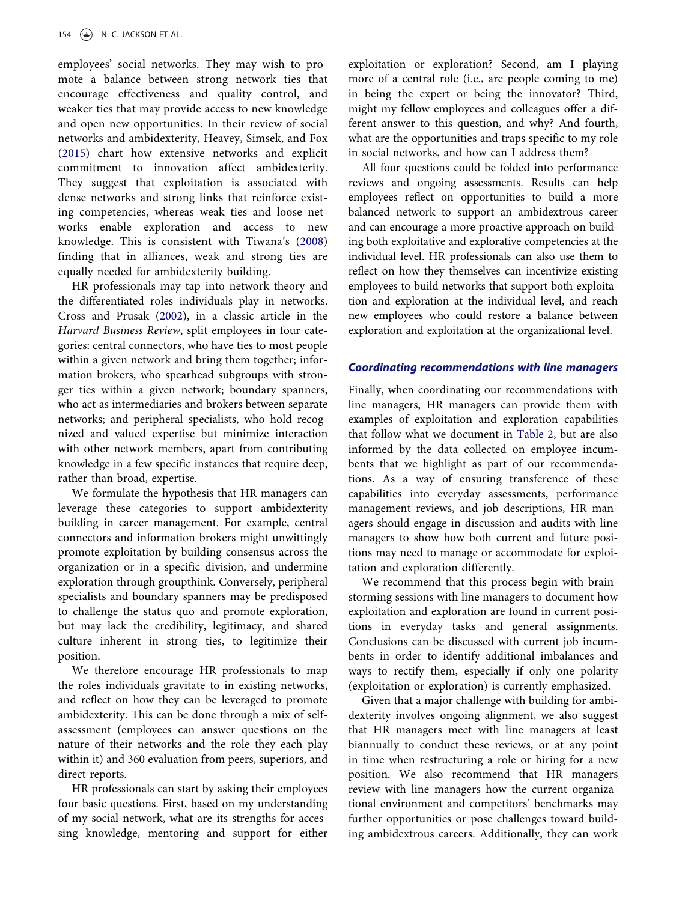employees' social networks. They may wish to promote a balance between strong network ties that encourage effectiveness and quality control, and weaker ties that may provide access to new knowledge and open new opportunities. In their review of social networks and ambidexterity, Heavey, Simsek, and Fox ([2015](#page-11-23)) chart how extensive networks and explicit commitment to innovation affect ambidexterity. They suggest that exploitation is associated with dense networks and strong links that reinforce existing competencies, whereas weak ties and loose networks enable exploration and access to new knowledge. This is consistent with Tiwana's ([2008](#page-13-12)) finding that in alliances, weak and strong ties are equally needed for ambidexterity building.

HR professionals may tap into network theory and the differentiated roles individuals play in networks. Cross and Prusak [\(2002\)](#page-11-24), in a classic article in the Harvard Business Review, split employees in four categories: central connectors, who have ties to most people within a given network and bring them together; information brokers, who spearhead subgroups with stronger ties within a given network; boundary spanners, who act as intermediaries and brokers between separate networks; and peripheral specialists, who hold recognized and valued expertise but minimize interaction with other network members, apart from contributing knowledge in a few specific instances that require deep, rather than broad, expertise.

We formulate the hypothesis that HR managers can leverage these categories to support ambidexterity building in career management. For example, central connectors and information brokers might unwittingly promote exploitation by building consensus across the organization or in a specific division, and undermine exploration through groupthink. Conversely, peripheral specialists and boundary spanners may be predisposed to challenge the status quo and promote exploration, but may lack the credibility, legitimacy, and shared culture inherent in strong ties, to legitimize their position.

We therefore encourage HR professionals to map the roles individuals gravitate to in existing networks, and reflect on how they can be leveraged to promote ambidexterity. This can be done through a mix of selfassessment (employees can answer questions on the nature of their networks and the role they each play within it) and 360 evaluation from peers, superiors, and direct reports.

HR professionals can start by asking their employees four basic questions. First, based on my understanding of my social network, what are its strengths for accessing knowledge, mentoring and support for either exploitation or exploration? Second, am I playing more of a central role (i.e., are people coming to me) in being the expert or being the innovator? Third, might my fellow employees and colleagues offer a different answer to this question, and why? And fourth, what are the opportunities and traps specific to my role in social networks, and how can I address them?

All four questions could be folded into performance reviews and ongoing assessments. Results can help employees reflect on opportunities to build a more balanced network to support an ambidextrous career and can encourage a more proactive approach on building both exploitative and explorative competencies at the individual level. HR professionals can also use them to reflect on how they themselves can incentivize existing employees to build networks that support both exploitation and exploration at the individual level, and reach new employees who could restore a balance between exploration and exploitation at the organizational level.

#### Coordinating recommendations with line managers

Finally, when coordinating our recommendations with line managers, HR managers can provide them with examples of exploitation and exploration capabilities that follow what we document in [Table 2](#page-7-0), but are also informed by the data collected on employee incumbents that we highlight as part of our recommendations. As a way of ensuring transference of these capabilities into everyday assessments, performance management reviews, and job descriptions, HR managers should engage in discussion and audits with line managers to show how both current and future positions may need to manage or accommodate for exploitation and exploration differently.

We recommend that this process begin with brainstorming sessions with line managers to document how exploitation and exploration are found in current positions in everyday tasks and general assignments. Conclusions can be discussed with current job incumbents in order to identify additional imbalances and ways to rectify them, especially if only one polarity (exploitation or exploration) is currently emphasized.

Given that a major challenge with building for ambidexterity involves ongoing alignment, we also suggest that HR managers meet with line managers at least biannually to conduct these reviews, or at any point in time when restructuring a role or hiring for a new position. We also recommend that HR managers review with line managers how the current organizational environment and competitors' benchmarks may further opportunities or pose challenges toward building ambidextrous careers. Additionally, they can work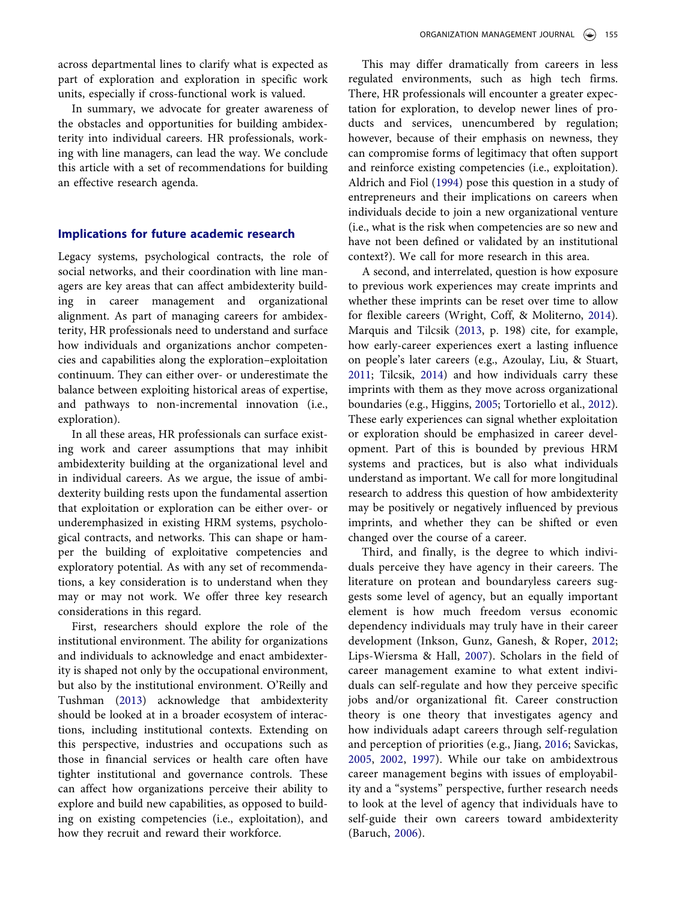across departmental lines to clarify what is expected as part of exploration and exploration in specific work units, especially if cross-functional work is valued.

In summary, we advocate for greater awareness of the obstacles and opportunities for building ambidexterity into individual careers. HR professionals, working with line managers, can lead the way. We conclude this article with a set of recommendations for building an effective research agenda.

#### Implications for future academic research

Legacy systems, psychological contracts, the role of social networks, and their coordination with line managers are key areas that can affect ambidexterity building in career management and organizational alignment. As part of managing careers for ambidexterity, HR professionals need to understand and surface how individuals and organizations anchor competencies and capabilities along the exploration–exploitation continuum. They can either over- or underestimate the balance between exploiting historical areas of expertise, and pathways to non-incremental innovation (i.e., exploration).

In all these areas, HR professionals can surface existing work and career assumptions that may inhibit ambidexterity building at the organizational level and in individual careers. As we argue, the issue of ambidexterity building rests upon the fundamental assertion that exploitation or exploration can be either over- or underemphasized in existing HRM systems, psychological contracts, and networks. This can shape or hamper the building of exploitative competencies and exploratory potential. As with any set of recommendations, a key consideration is to understand when they may or may not work. We offer three key research considerations in this regard.

First, researchers should explore the role of the institutional environment. The ability for organizations and individuals to acknowledge and enact ambidexterity is shaped not only by the occupational environment, but also by the institutional environment. O'Reilly and Tushman ([2013](#page-12-3)) acknowledge that ambidexterity should be looked at in a broader ecosystem of interactions, including institutional contexts. Extending on this perspective, industries and occupations such as those in financial services or health care often have tighter institutional and governance controls. These can affect how organizations perceive their ability to explore and build new capabilities, as opposed to building on existing competencies (i.e., exploitation), and how they recruit and reward their workforce.

This may differ dramatically from careers in less regulated environments, such as high tech firms. There, HR professionals will encounter a greater expectation for exploration, to develop newer lines of products and services, unencumbered by regulation; however, because of their emphasis on newness, they can compromise forms of legitimacy that often support and reinforce existing competencies (i.e., exploitation). Aldrich and Fiol ([1994](#page-11-25)) pose this question in a study of entrepreneurs and their implications on careers when individuals decide to join a new organizational venture (i.e., what is the risk when competencies are so new and have not been defined or validated by an institutional context?). We call for more research in this area.

A second, and interrelated, question is how exposure to previous work experiences may create imprints and whether these imprints can be reset over time to allow for flexible careers (Wright, Coff, & Moliterno, [2014\)](#page-13-13). Marquis and Tilcsik [\(2013](#page-12-26), p. 198) cite, for example, how early-career experiences exert a lasting influence on people's later careers (e.g., Azoulay, Liu, & Stuart, [2011](#page-11-26); Tilcsik, [2014\)](#page-13-14) and how individuals carry these imprints with them as they move across organizational boundaries (e.g., Higgins, [2005](#page-11-27); Tortoriello et al., [2012\)](#page-13-15). These early experiences can signal whether exploitation or exploration should be emphasized in career development. Part of this is bounded by previous HRM systems and practices, but is also what individuals understand as important. We call for more longitudinal research to address this question of how ambidexterity may be positively or negatively influenced by previous imprints, and whether they can be shifted or even changed over the course of a career.

Third, and finally, is the degree to which individuals perceive they have agency in their careers. The literature on protean and boundaryless careers suggests some level of agency, but an equally important element is how much freedom versus economic dependency individuals may truly have in their career development (Inkson, Gunz, Ganesh, & Roper, [2012;](#page-11-28) Lips-Wiersma & Hall, [2007](#page-12-27)). Scholars in the field of career management examine to what extent individuals can self-regulate and how they perceive specific jobs and/or organizational fit. Career construction theory is one theory that investigates agency and how individuals adapt careers through self-regulation and perception of priorities (e.g., Jiang, [2016](#page-11-29); Savickas, [2005,](#page-12-28) [2002,](#page-12-29) [1997\)](#page-12-30). While our take on ambidextrous career management begins with issues of employability and a "systems" perspective, further research needs to look at the level of agency that individuals have to self-guide their own careers toward ambidexterity (Baruch, [2006](#page-11-14)).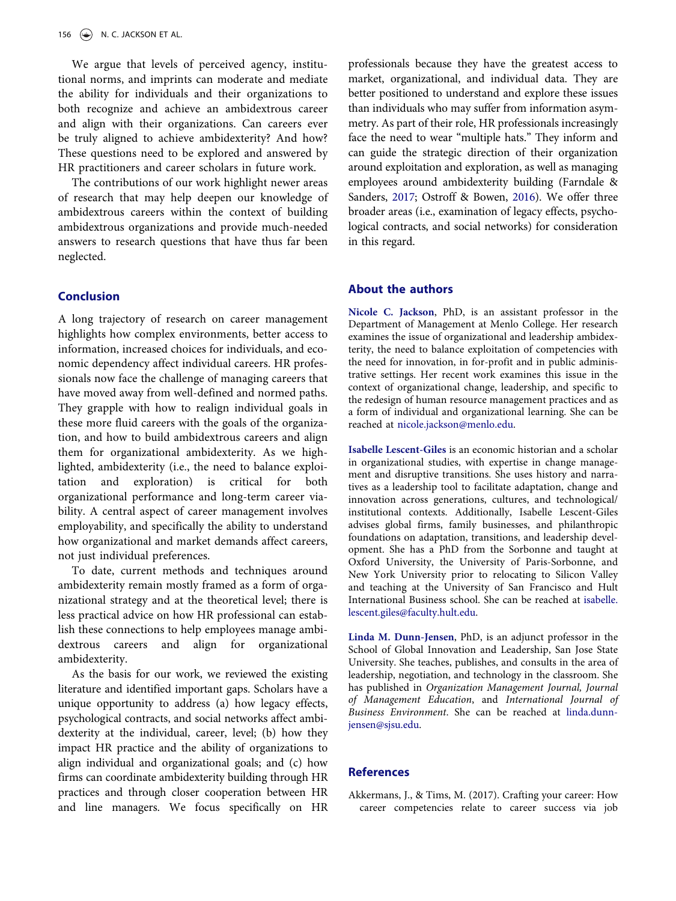We argue that levels of perceived agency, institutional norms, and imprints can moderate and mediate the ability for individuals and their organizations to both recognize and achieve an ambidextrous career and align with their organizations. Can careers ever be truly aligned to achieve ambidexterity? And how? These questions need to be explored and answered by HR practitioners and career scholars in future work.

The contributions of our work highlight newer areas of research that may help deepen our knowledge of ambidextrous careers within the context of building ambidextrous organizations and provide much-needed answers to research questions that have thus far been neglected.

#### Conclusion

A long trajectory of research on career management highlights how complex environments, better access to information, increased choices for individuals, and economic dependency affect individual careers. HR professionals now face the challenge of managing careers that have moved away from well-defined and normed paths. They grapple with how to realign individual goals in these more fluid careers with the goals of the organization, and how to build ambidextrous careers and align them for organizational ambidexterity. As we highlighted, ambidexterity (i.e., the need to balance exploitation and exploration) is critical for both organizational performance and long-term career viability. A central aspect of career management involves employability, and specifically the ability to understand how organizational and market demands affect careers, not just individual preferences.

To date, current methods and techniques around ambidexterity remain mostly framed as a form of organizational strategy and at the theoretical level; there is less practical advice on how HR professional can establish these connections to help employees manage ambidextrous careers and align for organizational ambidexterity.

As the basis for our work, we reviewed the existing literature and identified important gaps. Scholars have a unique opportunity to address (a) how legacy effects, psychological contracts, and social networks affect ambidexterity at the individual, career, level; (b) how they impact HR practice and the ability of organizations to align individual and organizational goals; and (c) how firms can coordinate ambidexterity building through HR practices and through closer cooperation between HR and line managers. We focus specifically on HR professionals because they have the greatest access to market, organizational, and individual data. They are better positioned to understand and explore these issues than individuals who may suffer from information asymmetry. As part of their role, HR professionals increasingly face the need to wear "multiple hats." They inform and can guide the strategic direction of their organization around exploitation and exploration, as well as managing employees around ambidexterity building (Farndale & Sanders, [2017](#page-11-30); Ostroff & Bowen, [2016](#page-12-31)). We offer three broader areas (i.e., examination of legacy effects, psychological contracts, and social networks) for consideration in this regard.

## About the authors

Nicole C. Jackson, PhD, is an assistant professor in the Department of Management at Menlo College. Her research examines the issue of organizational and leadership ambidexterity, the need to balance exploitation of competencies with the need for innovation, in for-profit and in public administrative settings. Her recent work examines this issue in the context of organizational change, leadership, and specific to the redesign of human resource management practices and as a form of individual and organizational learning. She can be reached at nicole.jackson@menlo.edu.

Isabelle Lescent-Giles is an economic historian and a scholar in organizational studies, with expertise in change management and disruptive transitions. She uses history and narratives as a leadership tool to facilitate adaptation, change and innovation across generations, cultures, and technological/ institutional contexts. Additionally, Isabelle Lescent-Giles advises global firms, family businesses, and philanthropic foundations on adaptation, transitions, and leadership development. She has a PhD from the Sorbonne and taught at Oxford University, the University of Paris-Sorbonne, and New York University prior to relocating to Silicon Valley and teaching at the University of San Francisco and Hult International Business school. She can be reached at isabelle. lescent.giles@faculty.hult.edu.

Linda M. Dunn-Jensen, PhD, is an adjunct professor in the School of Global Innovation and Leadership, San Jose State University. She teaches, publishes, and consults in the area of leadership, negotiation, and technology in the classroom. She has published in Organization Management Journal, Journal of Management Education, and International Journal of Business Environment. She can be reached at linda.dunnjensen@sjsu.edu.

#### **References**

<span id="page-10-0"></span>Akkermans, J., & Tims, M. (2017). Crafting your career: How career competencies relate to career success via job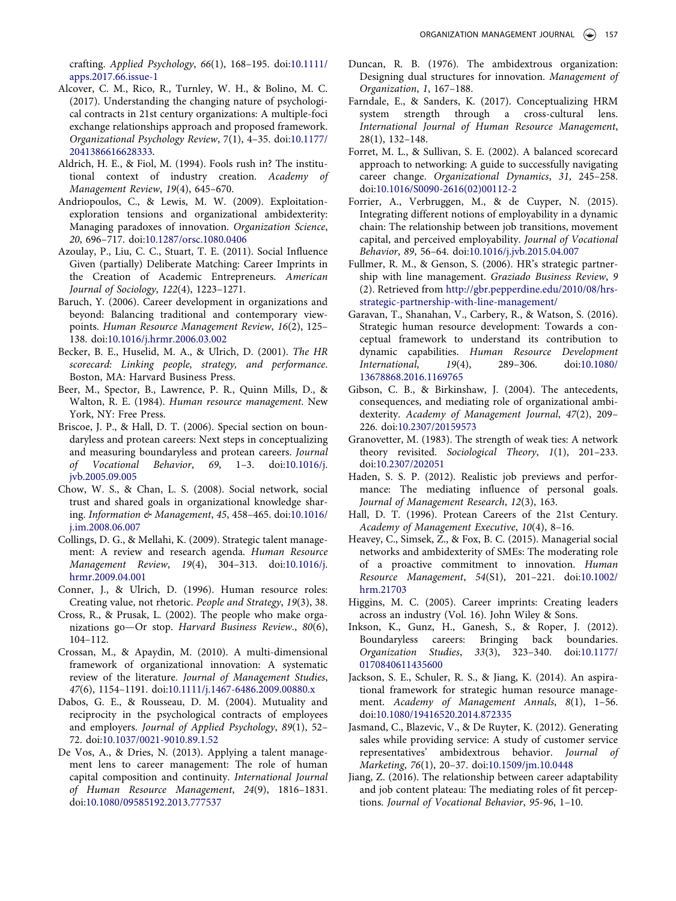crafting. Applied Psychology, 66(1), 168–195. doi[:10.1111/](http://dx.doi.org/10.1111/apps.2017.66.issue-1) [apps.2017.66.issue-1](http://dx.doi.org/10.1111/apps.2017.66.issue-1)

- <span id="page-11-17"></span>Alcover, C. M., Rico, R., Turnley, W. H., & Bolino, M. C. (2017). Understanding the changing nature of psychological contracts in 21st century organizations: A multiple-foci exchange relationships approach and proposed framework. Organizational Psychology Review, 7(1), 4–35. doi[:10.1177/](http://dx.doi.org/10.1177/2041386616628333) [2041386616628333.](http://dx.doi.org/10.1177/2041386616628333)
- <span id="page-11-25"></span>Aldrich, H. E., & Fiol, M. (1994). Fools rush in? The institutional context of industry creation. Academy Management Review, 19(4), 645–670.
- <span id="page-11-1"></span>Andriopoulos, C., & Lewis, M. W. (2009). Exploitationexploration tensions and organizational ambidexterity: Managing paradoxes of innovation. Organization Science, 20, 696–717. doi:[10.1287/orsc.1080.0406](http://dx.doi.org/10.1287/orsc.1080.0406)
- <span id="page-11-26"></span>Azoulay, P., Liu, C. C., Stuart, T. E. (2011). Social Influence Given (partially) Deliberate Matching: Career Imprints in the Creation of Academic Entrepreneurs. American Journal of Sociology, 122(4), 1223–1271.
- <span id="page-11-14"></span>Baruch, Y. (2006). Career development in organizations and beyond: Balancing traditional and contemporary viewpoints. Human Resource Management Review, 16(2), 125– 138. doi:[10.1016/j.hrmr.2006.03.002](http://dx.doi.org/10.1016/j.hrmr.2006.03.002)
- <span id="page-11-10"></span>Becker, B. E., Huselid, M. A., & Ulrich, D. (2001). The HR scorecard: Linking people, strategy, and performance. Boston, MA: Harvard Business Press.
- <span id="page-11-18"></span>Beer, M., Spector, B., Lawrence, P. R., Quinn Mills, D., & Walton, R. E. (1984). Human resource management. New York, NY: Free Press.
- <span id="page-11-6"></span>Briscoe, J. P., & Hall, D. T. (2006). Special section on boundaryless and protean careers: Next steps in conceptualizing and measuring boundaryless and protean careers. Journal of Vocational Behavior, 69, 1–3. doi:[10.1016/j.](http://dx.doi.org/10.1016/j.jvb.2005.09.005) [jvb.2005.09.005](http://dx.doi.org/10.1016/j.jvb.2005.09.005)
- <span id="page-11-20"></span>Chow, W. S., & Chan, L. S. (2008). Social network, social trust and shared goals in organizational knowledge sharing. Information & Management, 45, 458–465. doi[:10.1016/](http://dx.doi.org/10.1016/j.im.2008.06.007) [j.im.2008.06.007](http://dx.doi.org/10.1016/j.im.2008.06.007)
- <span id="page-11-15"></span>Collings, D. G., & Mellahi, K. (2009). Strategic talent management: A review and research agenda. Human Resource Management Review, 19(4), 304–313. doi:[10.1016/j.](http://dx.doi.org/10.1016/j.hrmr.2009.04.001) [hrmr.2009.04.001](http://dx.doi.org/10.1016/j.hrmr.2009.04.001)
- <span id="page-11-11"></span>Conner, J., & Ulrich, D. (1996). Human resource roles: Creating value, not rhetoric. People and Strategy, 19(3), 38.
- <span id="page-11-24"></span>Cross, R., & Prusak, L. (2002). The people who make organizations go—Or stop. Harvard Business Review., 80(6), 104–112.
- <span id="page-11-2"></span>Crossan, M., & Apaydin, M. (2010). A multi-dimensional framework of organizational innovation: A systematic review of the literature. Journal of Management Studies, 47(6), 1154–1191. doi:[10.1111/j.1467-6486.2009.00880.x](http://dx.doi.org/10.1111/j.1467-6486.2009.00880.x)
- <span id="page-11-19"></span>Dabos, G. E., & Rousseau, D. M. (2004). Mutuality and reciprocity in the psychological contracts of employees and employers. Journal of Applied Psychology, 89(1), 52– 72. doi:[10.1037/0021-9010.89.1.52](http://dx.doi.org/10.1037/0021-9010.89.1.52)
- <span id="page-11-13"></span>De Vos, A., & Dries, N. (2013). Applying a talent management lens to career management: The role of human capital composition and continuity. International Journal of Human Resource Management, 24(9), 1816–1831. doi:[10.1080/09585192.2013.777537](http://dx.doi.org/10.1080/09585192.2013.777537)
- <span id="page-11-0"></span>Duncan, R. B. (1976). The ambidextrous organization: Designing dual structures for innovation. Management of Organization, 1, 167–188.
- <span id="page-11-30"></span>Farndale, E., & Sanders, K. (2017). Conceptualizing HRM system strength through a cross-cultural lens. International Journal of Human Resource Management, 28(1), 132–148.
- <span id="page-11-22"></span>Forret, M. L., & Sullivan, S. E. (2002). A balanced scorecard approach to networking: A guide to successfully navigating career change. Organizational Dynamics, 31, 245–258. doi:[10.1016/S0090-2616\(02\)00112-2](http://dx.doi.org/10.1016/S0090-2616(02)00112-2)
- <span id="page-11-5"></span>Forrier, A., Verbruggen, M., & de Cuyper, N. (2015). Integrating different notions of employability in a dynamic chain: The relationship between job transitions, movement capital, and perceived employability. Journal of Vocational Behavior, 89, 56–64. doi[:10.1016/j.jvb.2015.04.007](http://dx.doi.org/10.1016/j.jvb.2015.04.007)
- <span id="page-11-9"></span>Fullmer, R. M., & Genson, S. (2006). HR's strategic partnership with line management. Graziado Business Review, 9 (2). Retrieved from [http://gbr.pepperdine.edu/2010/08/hrs](http://gbr.pepperdine.edu/2010/08/hrs-strategic-partnership-with-line-management/)[strategic-partnership-with-line-management/](http://gbr.pepperdine.edu/2010/08/hrs-strategic-partnership-with-line-management/)
- <span id="page-11-12"></span>Garavan, T., Shanahan, V., Carbery, R., & Watson, S. (2016). Strategic human resource development: Towards a conceptual framework to understand its contribution to dynamic capabilities. Human Resource Development International, 19(4), 289–306. doi[:10.1080/](http://dx.doi.org/10.1080/13678868.2016.1169765) [13678868.2016.1169765](http://dx.doi.org/10.1080/13678868.2016.1169765)
- <span id="page-11-3"></span>Gibson, C. B., & Birkinshaw, J. (2004). The antecedents, consequences, and mediating role of organizational ambidexterity. Academy of Management Journal, 47(2), 209– 226. doi:[10.2307/20159573](http://dx.doi.org/10.2307/20159573)
- <span id="page-11-21"></span>Granovetter, M. (1983). The strength of weak ties: A network theory revisited. Sociological Theory, 1(1), 201–233. doi:[10.2307/202051](http://dx.doi.org/10.2307/202051)
- <span id="page-11-16"></span>Haden, S. S. P. (2012). Realistic job previews and performance: The mediating influence of personal goals. Journal of Management Research, 12(3), 163.
- <span id="page-11-7"></span>Hall, D. T. (1996). Protean Careers of the 21st Century. Academy of Management Executive, 10(4), 8–16.
- <span id="page-11-23"></span>Heavey, C., Simsek, Z., & Fox, B. C. (2015). Managerial social networks and ambidexterity of SMEs: The moderating role of a proactive commitment to innovation. Human Resource Management, 54(S1), 201–221. doi[:10.1002/](http://dx.doi.org/10.1002/hrm.21703) [hrm.21703](http://dx.doi.org/10.1002/hrm.21703)
- <span id="page-11-27"></span>Higgins, M. C. (2005). Career imprints: Creating leaders across an industry (Vol. 16). John Wiley & Sons.
- <span id="page-11-28"></span>Inkson, K., Gunz, H., Ganesh, S., & Roper, J. (2012). Boundaryless careers: Bringing back boundaries. Organization Studies, 33(3), 323–340. doi[:10.1177/](http://dx.doi.org/10.1177/0170840611435600) [0170840611435600](http://dx.doi.org/10.1177/0170840611435600)
- <span id="page-11-8"></span>Jackson, S. E., Schuler, R. S., & Jiang, K. (2014). An aspirational framework for strategic human resource management. Academy of Management Annals, 8(1), 1-56. doi:[10.1080/19416520.2014.872335](http://dx.doi.org/10.1080/19416520.2014.872335)
- <span id="page-11-4"></span>Jasmand, C., Blazevic, V., & De Ruyter, K. (2012). Generating sales while providing service: A study of customer service representatives' ambidextrous behavior. Journal of Marketing, 76(1), 20–37. doi[:10.1509/jm.10.0448](http://dx.doi.org/10.1509/jm.10.0448)
- <span id="page-11-29"></span>Jiang, Z. (2016). The relationship between career adaptability and job content plateau: The mediating roles of fit perceptions. Journal of Vocational Behavior, 95-96, 1–10.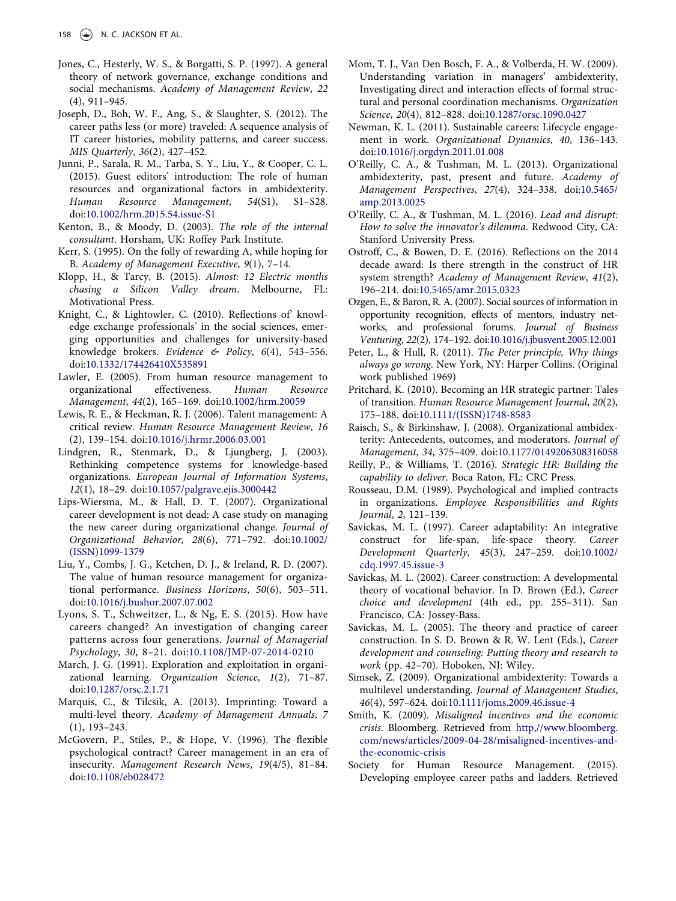- <span id="page-12-24"></span>Jones, C., Hesterly, W. S., & Borgatti, S. P. (1997). A general theory of network governance, exchange conditions and social mechanisms. Academy of Management Review, 22 (4), 911–945.
- <span id="page-12-8"></span>Joseph, D., Boh, W. F., Ang, S., & Slaughter, S. (2012). The career paths less (or more) traveled: A sequence analysis of IT career histories, mobility patterns, and career success. MIS Quarterly, 36(2), 427–452.
- <span id="page-12-6"></span>Junni, P., Sarala, R. M., Tarba, S. Y., Liu, Y., & Cooper, C. L. (2015). Guest editors' introduction: The role of human resources and organizational factors in ambidexterity. Human Resource Management, 54(S1), S1–S28. doi:[10.1002/hrm.2015.54.issue-S1](http://dx.doi.org/10.1002/hrm.2015.54.issue-S1)
- <span id="page-12-10"></span>Kenton, B., & Moody, D. (2003). The role of the internal consultant. Horsham, UK: Roffey Park Institute.
- <span id="page-12-15"></span>Kerr, S. (1995). On the folly of rewarding A, while hoping for B. Academy of Management Executive, 9(1), 7–14.
- <span id="page-12-18"></span>Klopp, H., & Tarcy, B. (2015). Almost: 12 Electric months chasing a Silicon Valley dream. Melbourne, FL: Motivational Press.
- <span id="page-12-23"></span>Knight, C., & Lightowler, C. (2010). Reflections of knowledge exchange professionals' in the social sciences, emerging opportunities and challenges for university-based knowledge brokers. Evidence & Policy, 6(4), 543-556. doi:[10.1332/174426410X535891](http://dx.doi.org/10.1332/174426410X535891)
- <span id="page-12-12"></span>Lawler, E. (2005). From human resource management to organizational effectiveness. Human Resource Management, 44(2), 165−169. doi[:10.1002/hrm.20059](http://dx.doi.org/10.1002/hrm.20059)
- <span id="page-12-17"></span>Lewis, R. E., & Heckman, R. J. (2006). Talent management: A critical review. Human Resource Management Review, 16 (2), 139–154. doi:[10.1016/j.hrmr.2006.03.001](http://dx.doi.org/10.1016/j.hrmr.2006.03.001)
- <span id="page-12-25"></span>Lindgren, R., Stenmark, D., & Ljungberg, J. (2003). Rethinking competence systems for knowledge-based organizations. European Journal of Information Systems, 12(1), 18–29. doi:[10.1057/palgrave.ejis.3000442](http://dx.doi.org/10.1057/palgrave.ejis.3000442)
- <span id="page-12-27"></span>Lips-Wiersma, M., & Hall, D. T. (2007). Organizational career development is not dead: A case study on managing the new career during organizational change. Journal of Organizational Behavior, 28(6), 771–792. doi[:10.1002/](http://dx.doi.org/10.1002/(ISSN)1099-1379) [\(ISSN\)1099-1379](http://dx.doi.org/10.1002/(ISSN)1099-1379)
- <span id="page-12-13"></span>Liu, Y., Combs, J. G., Ketchen, D. J., & Ireland, R. D. (2007). The value of human resource management for organizational performance. Business Horizons, 50(6), 503−511. doi:[10.1016/j.bushor.2007.07.002](http://dx.doi.org/10.1016/j.bushor.2007.07.002)
- <span id="page-12-7"></span>Lyons, S. T., Schweitzer, L., & Ng, E. S. (2015). How have careers changed? An investigation of changing career patterns across four generations. Journal of Managerial Psychology, 30, 8–21. doi:[10.1108/JMP-07-2014-0210](http://dx.doi.org/10.1108/JMP-07-2014-0210)
- <span id="page-12-0"></span>March, J. G. (1991). Exploration and exploitation in organizational learning. Organization Science, 1(2), 71–87. doi:[10.1287/orsc.2.1.71](http://dx.doi.org/10.1287/orsc.2.1.71)
- <span id="page-12-26"></span>Marquis, C., & Tilcsik, A. (2013). Imprinting: Toward a multi-level theory. Academy of Management Annuals, 7 (1), 193–243.
- <span id="page-12-21"></span>McGovern, P., Stiles, P., & Hope, V. (1996). The flexible psychological contract? Career management in an era of insecurity. Management Research News, 19(4/5), 81–84. doi:[10.1108/eb028472](http://dx.doi.org/10.1108/eb028472)
- <span id="page-12-5"></span>Mom, T. J., Van Den Bosch, F. A., & Volberda, H. W. (2009). Understanding variation in managers' ambidexterity, Investigating direct and interaction effects of formal structural and personal coordination mechanisms. Organization Science, 20(4), 812–828. doi:[10.1287/orsc.1090.0427](http://dx.doi.org/10.1287/orsc.1090.0427)
- <span id="page-12-9"></span>Newman, K. L. (2011). Sustainable careers: Lifecycle engagement in work. Organizational Dynamics, 40, 136–143. doi:[10.1016/j.orgdyn.2011.01.008](http://dx.doi.org/10.1016/j.orgdyn.2011.01.008)
- <span id="page-12-3"></span>O'Reilly, C. A., & Tushman, M. L. (2013). Organizational ambidexterity, past, present and future. Academy of Management Perspectives, 27(4), 324–338. doi[:10.5465/](http://dx.doi.org/10.5465/amp.2013.0025) [amp.2013.0025](http://dx.doi.org/10.5465/amp.2013.0025)
- <span id="page-12-1"></span>O'Reilly, C. A., & Tushman, M. L. (2016). Lead and disrupt: How to solve the innovator's dilemma. Redwood City, CA: Stanford University Press.
- <span id="page-12-31"></span>Ostroff, C., & Bowen, D. E. (2016). Reflections on the 2014 decade award: Is there strength in the construct of HR system strength? Academy of Management Review, 41(2), 196–214. doi[:10.5465/amr.2015.0323](http://dx.doi.org/10.5465/amr.2015.0323)
- <span id="page-12-22"></span>Ozgen, E., & Baron, R. A. (2007). Social sources of information in opportunity recognition, effects of mentors, industry networks, and professional forums. Journal of Business Venturing, 22(2), 174–192. doi[:10.1016/j.jbusvent.2005.12.001](http://dx.doi.org/10.1016/j.jbusvent.2005.12.001)
- Peter, L., & Hull, R. (2011). The Peter principle, Why things always go wrong. New York, NY: Harper Collins. (Original work published 1969)
- <span id="page-12-11"></span>Pritchard, K. (2010). Becoming an HR strategic partner: Tales of transition. Human Resource Management Journal, 20(2), 175–188. doi[:10.1111/\(ISSN\)1748-8583](http://dx.doi.org/10.1111/(ISSN)1748-8583)
- <span id="page-12-2"></span>Raisch, S., & Birkinshaw, J. (2008). Organizational ambidexterity: Antecedents, outcomes, and moderators. Journal of Management, 34, 375–409. doi[:10.1177/0149206308316058](http://dx.doi.org/10.1177/0149206308316058)
- <span id="page-12-14"></span>Reilly, P., & Williams, T. (2016). Strategic HR: Building the capability to deliver. Boca Raton, FL: CRC Press.
- <span id="page-12-20"></span>Rousseau, D.M. (1989). Psychological and implied contracts in organizations. Employee Responsibilities and Rights Journal, 2, 121–139.
- <span id="page-12-30"></span>Savickas, M. L. (1997). Career adaptability: An integrative construct for life-span, life-space theory. Career Development Quarterly, 45(3), 247–259. doi[:10.1002/](http://dx.doi.org/10.1002/cdq.1997.45.issue-3) [cdq.1997.45.issue-3](http://dx.doi.org/10.1002/cdq.1997.45.issue-3)
- <span id="page-12-29"></span>Savickas, M. L. (2002). Career construction: A developmental theory of vocational behavior. In D. Brown (Ed.), Career choice and development (4th ed., pp. 255–311). San Francisco, CA: Jossey-Bass.
- <span id="page-12-28"></span>Savickas, M. L. (2005). The theory and practice of career construction. In S. D. Brown & R. W. Lent (Eds.), Career development and counseling: Putting theory and research to work (pp. 42–70). Hoboken, NJ: Wiley.
- <span id="page-12-4"></span>Simsek, Z. (2009). Organizational ambidexterity: Towards a multilevel understanding. Journal of Management Studies, 46(4), 597–624. doi:[10.1111/joms.2009.46.issue-4](http://dx.doi.org/10.1111/joms.2009.46.issue-4)
- <span id="page-12-16"></span>Smith, K. (2009). Misaligned incentives and the economic crisis. Bloomberg. Retrieved from [http,//www.bloomberg.](http://http,//www.bloomberg.com/news/articles/2009-04-28/misaligned-incentives-and-the-economic-crisis) [com/news/articles/2009-04-28/misaligned-incentives-and](http://http,//www.bloomberg.com/news/articles/2009-04-28/misaligned-incentives-and-the-economic-crisis)[the-economic-crisis](http://http,//www.bloomberg.com/news/articles/2009-04-28/misaligned-incentives-and-the-economic-crisis)
- <span id="page-12-19"></span>Society for Human Resource Management. (2015). Developing employee career paths and ladders. Retrieved